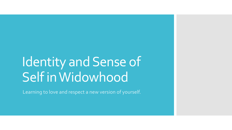## Identity and Sense of Self in Widowhood

Learning to love and respect a new version of yourself.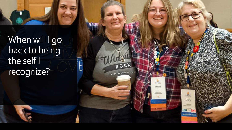When will I go back to being the self I recognize?

ROCK

117,554 Stacky tanza e firm

> **IFTER** Gaye

**Regional Land** 

EVERY MOMENTIS A ST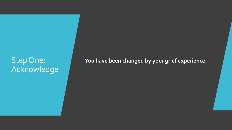### Step One: Acknowledge

**You have been changed by your grief experience.**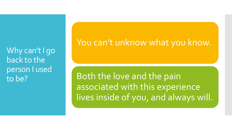Why can't I go back to the person I used to be?

#### You can't unknow what you know.

Both the love and the pain associated with this experience lives inside of you, and always will.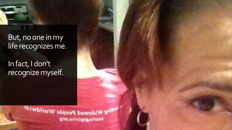#### But, no one in my life recognizes me.

In fact, I don't recognize myself.

> **Salve Widowed People Worldwidt** gro.eshiqagnraos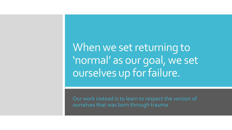When we set returning to 'normal' as our goal, we set ourselves up for failure.

Our work instead is to learn to respect the version of ourselves that was born through trauma.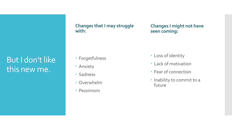#### But I don't like this new me.

**Changes that I may struggle with:**

**Changes I might not have seen coming:**

- Forgetfulness
- Anxiety
- Sadness
- Overwhelm
- Pessimism
- Loss of identity
- Lack of motivation
- Fear of connection
- · Inability to commit to a future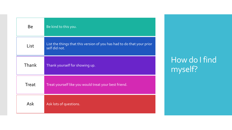| <b>Be</b>    | Be kind to this you.                                                                    |
|--------------|-----------------------------------------------------------------------------------------|
| List         | List the things that this version of you has had to do that your prior<br>self did not. |
| Thank        | Thank yourself for showing up.                                                          |
| <b>Treat</b> | Treat yourself like you would treat your best friend.                                   |
| <b>Ask</b>   | Ask lots of questions.                                                                  |

How do I find myself?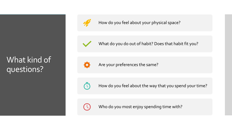#### What kind of questions?



How do you feel about your physical space?



What do you do out of habit? Does that habit fit you?



Are your preferences the same?



How do you feel about the way that you spend your time?



Who do you most enjoy spending time with?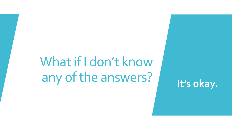# What if I don't know any of the answers? **It's okay.**